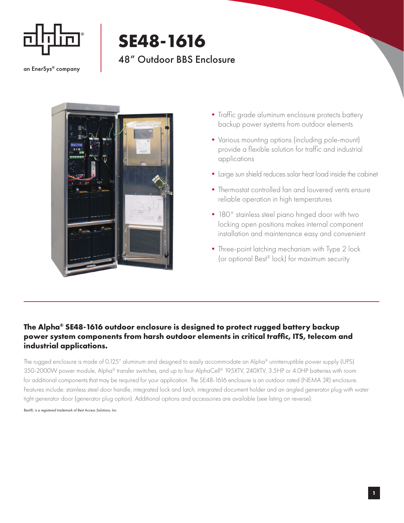

## **SE48-1616** 48" Outdoor BBS Enclosure

an EnerSys® company



- Traffic grade aluminum enclosure protects battery backup power systems from outdoor elements
- •Various mounting options (including pole-mount) provide a flexible solution for traffic and industrial applications
- •Large sun shield reduces solar heat load inside the cabinet
- •Thermostat controlled fan and louvered vents ensure reliable operation in high temperatures
- 180° stainless steel piano hinged door with two locking open positions makes internal component installation and maintenance easy and convenient
- Three-point latching mechanism with Type 2 lock (or optional Best® lock) for maximum security

## **The Alpha® SE48-1616 outdoor enclosure is designed to protect rugged battery backup power system components from harsh outdoor elements in critical traffic, ITS, telecom and industrial applications.**

The rugged enclosure is made of 0.125" aluminum and designed to easily accommodate an Alpha® uninterruptible power supply (UPS) 350-2000W power module, Alpha® transfer switches, and up to four AlphaCell® 195XTV, 240XTV, 3.5HP or 4.0HP batteries with room for additional components that may be required for your application. The SE48-1616 enclosure is an outdoor rated (NEMA 3R) enclosure. Features include: stainless steel door handle, integrated lock and latch, integrated document holder and an angled generator plug with water tight generator door (generator plug option). Additional options and accessories are available (see listing on reverse).

*Best®, is a registered trademark of Best Access Solutions, Inc.*